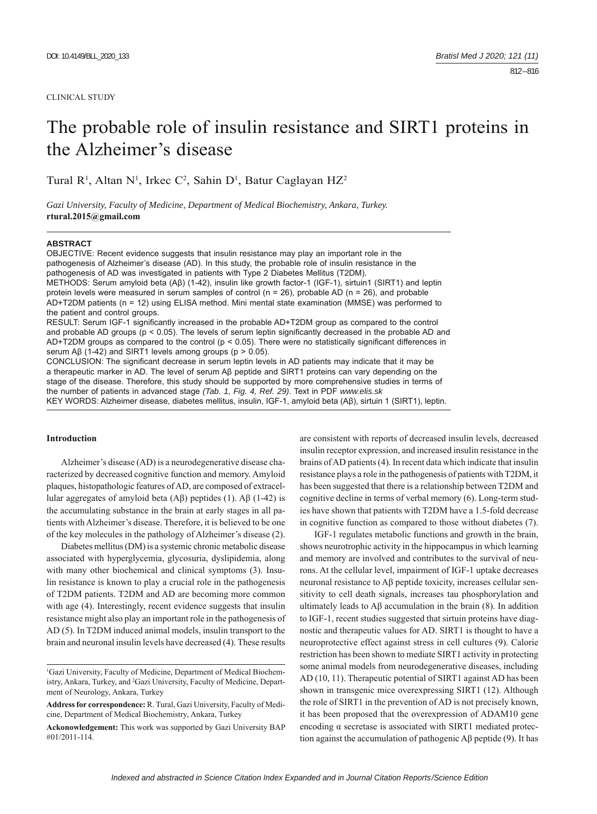#### CLINICAL STUDY

# The probable role of insulin resistance and SIRT1 proteins in the Alzheimer's disease

Tural R<sup>1</sup>, Altan N<sup>1</sup>, Irkec C<sup>2</sup>, Sahin D<sup>1</sup>, Batur Caglayan HZ<sup>2</sup>

*Gazi University, Faculty of Medicine, Department of Medical Biochemistry, Ankara, Turkey.*  **rtural.2015@gmail.com**

#### **ABSTRACT**

OBJECTIVE: Recent evidence suggests that insulin resistance may play an important role in the pathogenesis of Alzheimer's disease (AD). In this study, the probable role of insulin resistance in the pathogenesis of AD was investigated in patients with Type 2 Diabetes Mellitus (T2DM). METHODS: Serum amyloid beta (Aβ) (1-42), insulin like growth factor-1 (IGF-1), sirtuin1 (SIRT1) and leptin protein levels were measured in serum samples of control ( $n = 26$ ), probable AD ( $n = 26$ ), and probable AD+T2DM patients (n = 12) using ELISA method. Mini mental state examination (MMSE) was performed to the patient and control groups. RESULT: Serum IGF-1 significantly increased in the probable AD+T2DM group as compared to the control and probable AD groups ( $p < 0.05$ ). The levels of serum leptin significantly decreased in the probable AD and AD+T2DM groups as compared to the control ( $p < 0.05$ ). There were no statistically significant differences in

serum Aβ (1-42) and SIRT1 levels among groups (p > 0.05). CONCLUSION: The significant decrease in serum leptin levels in AD patients may indicate that it may be a therapeutic marker in AD. The level of serum Aβ peptide and SIRT1 proteins can vary depending on the stage of the disease. Therefore, this study should be supported by more comprehensive studies in terms of the number of patients in advanced stage *(Tab. 1, Fig. 4, Ref. 29)*. Text in PDF *www.elis.sk*

KEY WORDS: Alzheimer disease, diabetes mellitus, insulin, IGF-1, amyloid beta (Aβ), sirtuin 1 (SIRT1), leptin.

## **Introduction**

Alzheimer's disease (AD) is a neurodegenerative disease characterized by decreased cognitive function and memory. Amyloid plaques, histopathologic features of AD, are composed of extracellular aggregates of amyloid beta (Aβ) peptides (1). Aβ (1-42) is the accumulating substance in the brain at early stages in all patients with Alzheimer's disease. Therefore, it is believed to be one of the key molecules in the pathology of Alzheimer's disease (2).

Diabetes mellitus (DM) is a systemic chronic metabolic disease associated with hyperglycemia, glycosuria, dyslipidemia, along with many other biochemical and clinical symptoms (3). Insulin resistance is known to play a crucial role in the pathogenesis of T2DM patients. T2DM and AD are becoming more common with age (4). Interestingly, recent evidence suggests that insulin resistance might also play an important role in the pathogenesis of AD (5). In T2DM induced animal models, insulin transport to the brain and neuronal insulin levels have decreased (4). These results are consistent with reports of decreased insulin levels, decreased insulin receptor expression, and increased insulin resistance in the brains of AD patients (4). In recent data which indicate that insulin resistance plays a role in the pathogenesis of patients with T2DM, it has been suggested that there is a relationship between T2DM and cognitive decline in terms of verbal memory (6). Long-term studies have shown that patients with T2DM have a 1.5-fold decrease in cognitive function as compared to those without diabetes (7).

IGF-1 regulates metabolic functions and growth in the brain, shows neurotrophic activity in the hippocampus in which learning and memory are involved and contributes to the survival of neurons. At the cellular level, impairment of IGF-1 uptake decreases neuronal resistance to Aβ peptide toxicity, increases cellular sensitivity to cell death signals, increases tau phosphorylation and ultimately leads to  $\text{A}\beta$  accumulation in the brain (8). In addition to IGF-1, recent studies suggested that sirtuin proteins have diagnostic and therapeutic values for AD. SIRT1 is thought to have a neuroprotective effect against stress in cell cultures (9). Calorie restriction has been shown to mediate SIRT1 activity in protecting some animal models from neurodegenerative diseases, including AD (10, 11). Therapeutic potential of SIRT1 against AD has been shown in transgenic mice overexpressing SIRT1 (12). Although the role of SIRT1 in the prevention of AD is not precisely known, it has been proposed that the overexpression of ADAM10 gene encoding  $\alpha$  secretase is associated with SIRT1 mediated protection against the accumulation of pathogenic  $\widehat{AB}$  peptide (9). It has

<sup>1</sup> Gazi University, Faculty of Medicine, Department of Medical Biochemistry, Ankara, Turkey, and <sup>2</sup>Gazi University, Faculty of Medicine, Department of Neurology, Ankara, Turkey

**Address for correspondence:** R. Tural, Gazi University, Faculty of Medicine, Department of Medical Biochemistry, Ankara, Turkey

**Ackonowledgement:** This work was supported by Gazi University BAP #01/2011-114.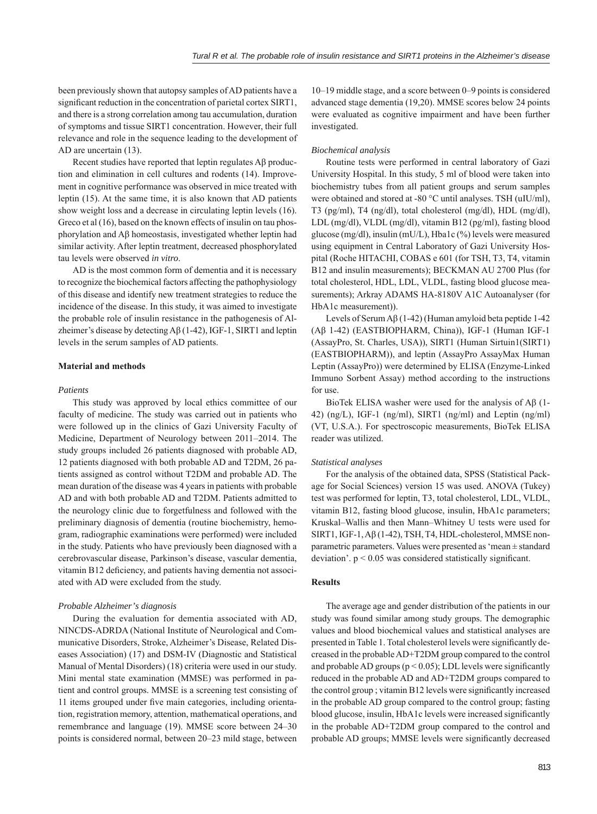been previously shown that autopsy samples of AD patients have a significant reduction in the concentration of parietal cortex SIRT1, and there is a strong correlation among tau accumulation, duration of symptoms and tissue SIRT1 concentration. However, their full relevance and role in the sequence leading to the development of AD are uncertain (13).

Recent studies have reported that leptin regulates Aβ production and elimination in cell cultures and rodents (14). Improvement in cognitive performance was observed in mice treated with leptin (15). At the same time, it is also known that AD patients show weight loss and a decrease in circulating leptin levels (16). Greco et al (16), based on the known effects of insulin on tau phosphorylation and Aβ homeostasis, investigated whether leptin had similar activity. After leptin treatment, decreased phosphorylated tau levels were observed *in vitro*.

AD is the most common form of dementia and it is necessary to recognize the biochemical factors affecting the pathophysiology of this disease and identify new treatment strategies to reduce the incidence of the disease. In this study, it was aimed to investigate the probable role of insulin resistance in the pathogenesis of Alzheimer's disease by detecting  $\overrightarrow{AB}$  (1-42), IGF-1, SIRT1 and leptin levels in the serum samples of AD patients.

### **Material and methods**

#### *Patients*

This study was approved by local ethics committee of our faculty of medicine. The study was carried out in patients who were followed up in the clinics of Gazi University Faculty of Medicine, Department of Neurology between 2011–2014. The study groups included 26 patients diagnosed with probable AD, 12 patients diagnosed with both probable AD and T2DM, 26 patients assigned as control without T2DM and probable AD. The mean duration of the disease was 4 years in patients with probable AD and with both probable AD and T2DM. Patients admitted to the neurology clinic due to forgetfulness and followed with the preliminary diagnosis of dementia (routine biochemistry, hemogram, radiographic examinations were performed) were included in the study. Patients who have previously been diagnosed with a cerebrovascular disease, Parkinson's disease, vascular dementia, vitamin B12 deficiency, and patients having dementia not associated with AD were excluded from the study.

### *Probable Alzheimer's diagnosis*

During the evaluation for dementia associated with AD, NINCDS-ADRDA (National Institute of Neurological and Communicative Disorders, Stroke, Alzheimer's Disease, Related Diseases Association) (17) and DSM-IV (Diagnostic and Statistical Manual of Mental Disorders) (18) criteria were used in our study. Mini mental state examination (MMSE) was performed in patient and control groups. MMSE is a screening test consisting of 11 items grouped under five main categories, including orientation, registration memory, attention, mathematical operations, and remembrance and language (19). MMSE score between 24-30 points is considered normal, between 20–23 mild stage, between

10‒19 middle stage, and a score between 0‒9 points is considered advanced stage dementia (19,20). MMSE scores below 24 points were evaluated as cognitive impairment and have been further investigated.

#### *Biochemical analysis*

Routine tests were performed in central laboratory of Gazi University Hospital. In this study, 5 ml of blood were taken into biochemistry tubes from all patient groups and serum samples were obtained and stored at -80 °C until analyses. TSH (uIU/ml), T3 (pg/ml), T4 (ng/dl), total cholesterol (mg/dl), HDL (mg/dl), LDL (mg/dl), VLDL (mg/dl), vitamin B12 (pg/ml), fasting blood glucose (mg/dl), insulin (mU/L), Hba1c (%) levels were measured using equipment in Central Laboratory of Gazi University Hospital (Roche HITACHI, COBAS e 601 (for TSH, T3, T4, vitamin B12 and insulin measurements); BECKMAN AU 2700 Plus (for total cholesterol, HDL, LDL, VLDL, fasting blood glucose measurements); Arkray ADAMS HA-8180V A1C Autoanalyser (for HbA1c measurement)).

Levels of Serum Aβ (1-42) (Human amyloid beta peptide 1-42 (Aβ 1-42) (EASTBIOPHARM, China)), IGF-1 (Human IGF-1 (AssayPro, St. Charles, USA)), SIRT1 (Human Sirtuin1(SIRT1) (EASTBIOPHARM)), and leptin (AssayPro AssayMax Human Leptin (AssayPro)) were determined by ELISA (Enzyme-Linked Immuno Sorbent Assay) method according to the instructions for use.

BioTek ELISA washer were used for the analysis of Aβ (1- 42) (ng/L), IGF-1 (ng/ml), SIRT1 (ng/ml) and Leptin (ng/ml) (VT, U.S.A.). For spectroscopic measurements, BioTek ELISA reader was utilized.

#### *Statistical analyses*

For the analysis of the obtained data, SPSS (Statistical Package for Social Sciences) version 15 was used. ANOVA (Tukey) test was performed for leptin, T3, total cholesterol, LDL, VLDL, vitamin B12, fasting blood glucose, insulin, HbA1c parameters; Kruskal‒Wallis and then Mann‒Whitney U tests were used for SIRT1, IGF-1, Aβ (1-42), TSH, T4, HDL-cholesterol, MMSE nonparametric parameters. Values were presented as 'mean ± standard deviation'.  $p < 0.05$  was considered statistically significant.

#### **Results**

The average age and gender distribution of the patients in our study was found similar among study groups. The demographic values and blood biochemical values and statistical analyses are presented in Table 1. Total cholesterol levels were significantly decreased in the probable AD+T2DM group compared to the control and probable AD groups ( $p < 0.05$ ); LDL levels were significantly reduced in the probable AD and AD+T2DM groups compared to the control group ; vitamin B12 levels were significantly increased in the probable AD group compared to the control group; fasting blood glucose, insulin, HbA1c levels were increased significantly in the probable AD+T2DM group compared to the control and probable AD groups; MMSE levels were significantly decreased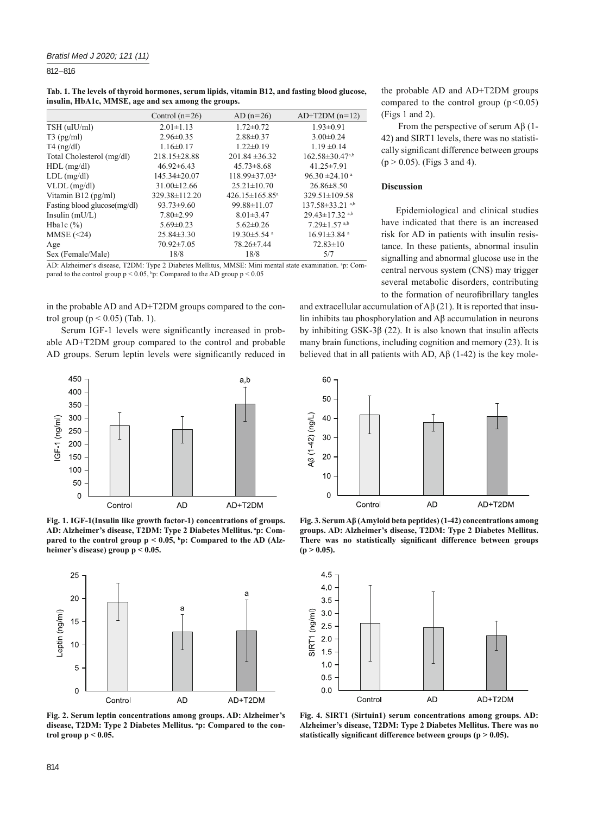812 – 816

**Tab. 1. The levels of thyroid hormones, serum lipids, vitamin B12, and fasting blood glucose, insulin, HbA1c, MMSE, age and sex among the groups.**

|                              | Control $(n=26)$   | $AD (n=26)$                      | $AD+T2DM(n=12)$                  |
|------------------------------|--------------------|----------------------------------|----------------------------------|
| TSH (uIU/ml)                 | $2.01 \pm 1.13$    | $1.72 \pm 0.72$                  | $1.93 \pm 0.91$                  |
| $T3$ (pg/ml)                 | $2.96 \pm 0.35$    | $2.88 \pm 0.37$                  | $3.00\pm0.24$                    |
| $T4$ (ng/dl)                 | $1.16 \pm 0.17$    | $1.22 \pm 0.19$                  | $1.19 \pm 0.14$                  |
| Total Cholesterol (mg/dl)    | $218.15 \pm 28.88$ | $201.84 \pm 36.32$               | $162.58 \pm 30.47^{a,b}$         |
| $HDL$ (mg/dl)                | $46.92 \pm 6.43$   | $45.73 \pm 8.68$                 | $41.25 \pm 7.91$                 |
| $LDL$ (mg/dl)                | 145.34±20.07       | 118.99±37.03 <sup>a</sup>        | 96.30 $\pm$ 24.10 a              |
| $VLDL$ (mg/dl)               | $31.00 \pm 12.66$  | $25.21 \pm 10.70$                | $26.86 \pm 8.50$                 |
| Vitamin B12 (pg/ml)          | 329.38±112.20      | $426.15 \pm 165.85$ <sup>a</sup> | 329.51±109.58                    |
| Fasting blood glucose(mg/dl) | $93.73 \pm 9.60$   | 99.88±11.07                      | 137.58±33.21 <sup>a,b</sup>      |
| Insulin $(mU/L)$             | $7.80 \pm 2.99$    | $8.01 \pm 3.47$                  | $29.43 \pm 17.32$ <sup>a,b</sup> |
| Hbalc $(\%)$                 | $5.69 \pm 0.23$    | $5.62 \pm 0.26$                  | $7.29 \pm 1.57$ <sup>a,b</sup>   |
| MMSE $(\leq 24)$             | $25.84\pm3.30$     | $19.30 \pm 5.54$ <sup>a</sup>    | $16.91 \pm 3.84$ <sup>a</sup>    |
| Age                          | $70.92 \pm 7.05$   | 78.26±7.44                       | $72.83 \pm 10$                   |
| Sex (Female/Male)            | 18/8               | 18/8                             | 5/7                              |

AD: Alzheimer's disease, T2DM: Type 2 Diabetes Mellitus, MMSE: Mini mental state examination. <sup>a</sup>p: Compared to the control group  $p < 0.05$ , <sup>b</sup>p: Compared to the AD group  $p < 0.05$ 

in the probable AD and AD+T2DM groups compared to the control group ( $p < 0.05$ ) (Tab. 1).

Serum IGF-1 levels were significantly increased in probable AD+T2DM group compared to the control and probable AD groups. Serum leptin levels were significantly reduced in



**Fig. 1. IGF-1(Insulin like growth factor-1) concentrations of groups.**  AD: Alzheimer's disease, T2DM: Type 2 Diabetes Mellitus.<sup>a</sup>p: Compared to the control group  $p < 0.05$ , <sup>b</sup>p: Compared to the AD (Alz**heimer's disease) group p ˂ 0.05.**



**Fig. 2. Serum leptin concentrations among groups. AD: Alzheimer's**  disease, T2DM: Type 2 Diabetes Mellitus. <sup>a</sup>p: Compared to the con $t$ rol group  $p < 0.05$ .

the probable AD and AD+T2DM groups compared to the control group  $(p<0.05)$ (Figs 1 and 2).

 From the perspective of serum Aβ (1- 42) and SIRT1 levels, there was no statistically significant difference between groups  $(p > 0.05)$ . (Figs 3 and 4).

### **Discussion**

Epidemiological and clinical studies have indicated that there is an increased risk for AD in patients with insulin resistance. In these patients, abnormal insulin signalling and abnormal glucose use in the central nervous system (CNS) may trigger several metabolic disorders, contributing to the formation of neurofibrillary tangles

and extracellular accumulation of  $\overrightarrow{AB}$  (21). It is reported that insulin inhibits tau phosphorylation and Aβ accumulation in neurons by inhibiting GSK-3β (22). It is also known that insulin affects many brain functions, including cognition and memory (23). It is believed that in all patients with AD,  $\overrightarrow{AB}$  (1-42) is the key mole-



**Fig. 3. Serum Aβ (Amyloid beta peptides) (1-42) concentrations among groups. AD: Alzheimer's disease, T2DM: Type 2 Diabetes Mellitus.**  There was no statistically significant difference between groups **(p > 0.05).**



**Fig. 4. SIRT1 (Sirtuin1) serum concentrations among groups. AD: Alzheimer's disease, T2DM: Type 2 Diabetes Mellitus. There was no**  statistically significant difference between groups  $(p > 0.05)$ .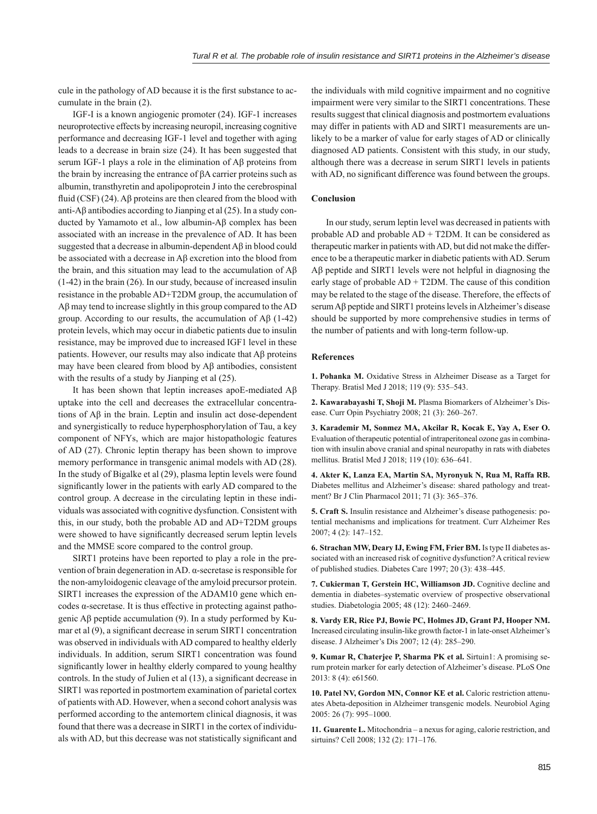cule in the pathology of AD because it is the first substance to accumulate in the brain (2).

IGF-I is a known angiogenic promoter (24). IGF-1 increases neuroprotective effects by increasing neuropil, increasing cognitive performance and decreasing IGF-1 level and together with aging leads to a decrease in brain size (24). It has been suggested that serum IGF-1 plays a role in the elimination of Aβ proteins from the brain by increasing the entrance of βA carrier proteins such as albumin, transthyretin and apolipoprotein J into the cerebrospinal fluid (CSF)  $(24)$ . A $\beta$  proteins are then cleared from the blood with anti-Aβ antibodies according to Jianping et al (25). In a study conducted by Yamamoto et al., low albumin-Aβ complex has been associated with an increase in the prevalence of AD. It has been suggested that a decrease in albumin-dependent Aβ in blood could be associated with a decrease in Aβ excretion into the blood from the brain, and this situation may lead to the accumulation of Aβ (1-42) in the brain (26). In our study, because of increased insulin resistance in the probable AD+T2DM group, the accumulation of Aβ may tend to increase slightly in this group compared to the AD group. According to our results, the accumulation of  $\text{A}\beta$  (1-42) protein levels, which may occur in diabetic patients due to insulin resistance, may be improved due to increased IGF1 level in these patients. However, our results may also indicate that Aβ proteins may have been cleared from blood by Aβ antibodies, consistent with the results of a study by Jianping et al (25).

It has been shown that leptin increases apoE-mediated Aβ uptake into the cell and decreases the extracellular concentrations of Aβ in the brain. Leptin and insulin act dose-dependent and synergistically to reduce hyperphosphorylation of Tau, a key component of NFYs, which are major histopathologic features of AD (27). Chronic leptin therapy has been shown to improve memory performance in transgenic animal models with AD (28). In the study of Bigalke et al (29), plasma leptin levels were found significantly lower in the patients with early AD compared to the control group. A decrease in the circulating leptin in these individuals was associated with cognitive dysfunction. Consistent with this, in our study, both the probable AD and AD+T2DM groups were showed to have significantly decreased serum leptin levels and the MMSE score compared to the control group.

SIRT1 proteins have been reported to play a role in the prevention of brain degeneration in AD. α-secretase is responsible for the non-amyloidogenic cleavage of the amyloid precursor protein. SIRT1 increases the expression of the ADAM10 gene which encodes α-secretase. It is thus effective in protecting against pathogenic Aβ peptide accumulation (9). In a study performed by Kumar et al  $(9)$ , a significant decrease in serum SIRT1 concentration was observed in individuals with AD compared to healthy elderly individuals. In addition, serum SIRT1 concentration was found significantly lower in healthy elderly compared to young healthy controls. In the study of Julien et al (13), a significant decrease in SIRT1 was reported in postmortem examination of parietal cortex of patients with AD. However, when a second cohort analysis was performed according to the antemortem clinical diagnosis, it was found that there was a decrease in SIRT1 in the cortex of individuals with AD, but this decrease was not statistically significant and

the individuals with mild cognitive impairment and no cognitive impairment were very similar to the SIRT1 concentrations. These results suggest that clinical diagnosis and postmortem evaluations may differ in patients with AD and SIRT1 measurements are unlikely to be a marker of value for early stages of AD or clinically diagnosed AD patients. Consistent with this study, in our study, although there was a decrease in serum SIRT1 levels in patients with AD, no significant difference was found between the groups.

## **Conclusion**

In our study, serum leptin level was decreased in patients with probable AD and probable AD + T2DM. It can be considered as therapeutic marker in patients with AD, but did not make the difference to be a therapeutic marker in diabetic patients with AD. Serum Aβ peptide and SIRT1 levels were not helpful in diagnosing the early stage of probable  $AD + T2DM$ . The cause of this condition may be related to the stage of the disease. Therefore, the effects of serum Aβ peptide and SIRT1 proteins levels in Alzheimer's disease should be supported by more comprehensive studies in terms of the number of patients and with long-term follow-up.

## **References**

**1. Pohanka M.** Oxidative Stress in Alzheimer Disease as a Target for Therapy. Bratisl Med J 2018; 119 (9): 535-543.

**2. Kawarabayashi T, Shoji M.** Plasma Biomarkers of Alzheimer's Disease. Curr Opin Psychiatry 2008; 21 (3): 260-267.

**3. Karademir M, Sonmez MA, Akcilar R, Kocak E, Yay A, Eser O.**  Evaluation of therapeutic potential of intraperitoneal ozone gas in combination with insulin above cranial and spinal neuropathy in rats with diabetes mellitus. Bratisl Med J 2018; 119 (10): 636‒641.

**4. Akter K, Lanza EA, Martin SA, Myronyuk N, Rua M, Raffa RB.** Diabetes mellitus and Alzheimer's disease: shared pathology and treatment? Br J Clin Pharmacol 2011; 71 (3): 365-376.

**5. Craft S.** Insulin resistance and Alzheimer's disease pathogenesis: potential mechanisms and implications for treatment. Curr Alzheimer Res 2007; 4 (2): 147‒152.

**6. Strachan MW, Deary IJ, Ewing FM, Frier BM.** Is type II diabetes associated with an increased risk of cognitive dysfunction? A critical review of published studies. Diabetes Care 1997; 20 (3): 438‒445.

**7. Cukierman T, Gerstein HC, Williamson JD.** Cognitive decline and dementia in diabetes–systematic overview of prospective observational studies. Diabetologia 2005; 48 (12): 2460-2469.

**8. Vardy ER, Rice PJ, Bowie PC, Holmes JD, Grant PJ, Hooper NM.** Increased circulating insulin-like growth factor-1 in late-onset Alzheimer's disease. J Alzheimer's Dis 2007; 12 (4): 285-290.

**9. Kumar R, Chaterjee P, Sharma PK et al.** Sirtuin1: A promising serum protein marker for early detection of Alzheimer's disease. PLoS One 2013: 8 (4): e61560.

**10. Patel NV, Gordon MN, Connor KE et al.** Caloric restriction attenuates Abeta-deposition in Alzheimer transgenic models. Neurobiol Aging 2005: 26 (7): 995‒1000.

**11. Guarente L.** Mitochondria – a nexus for aging, calorie restriction, and sirtuins? Cell 2008; 132 (2): 171-176.